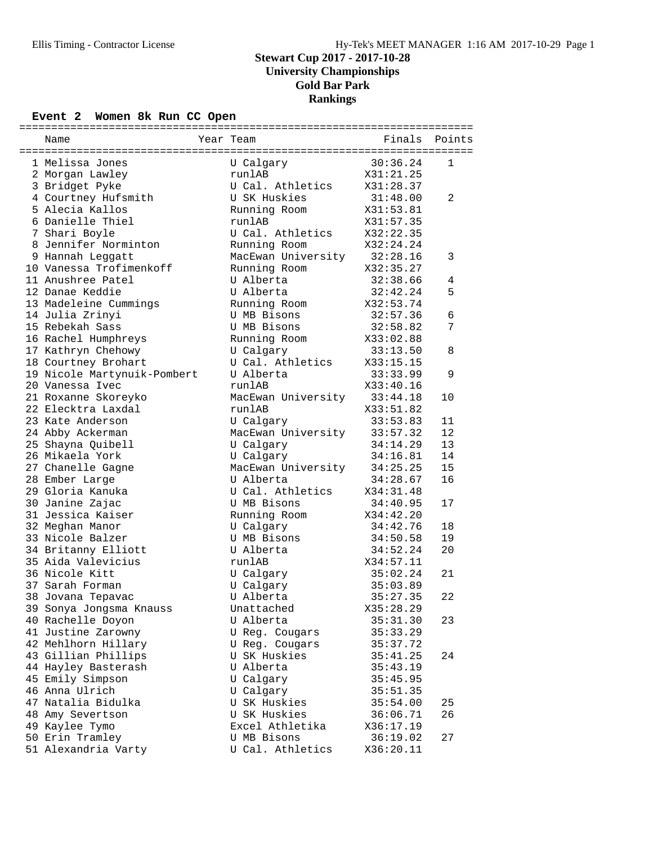### Event 2 Women 8k Run CC Open

| Name                        | Year Team                   | Finals    | Points       |
|-----------------------------|-----------------------------|-----------|--------------|
| 1 Melissa Jones             | U Calgary                   | 30:36.24  | $\mathbf{1}$ |
| 2 Morgan Lawley             | runlAB                      | X31:21.25 |              |
| 3 Bridget Pyke              | U Cal. Athletics X31:28.37  |           |              |
| 4 Courtney Hufsmith         | U SK Huskies                | 31:48.00  | 2            |
| 5 Alecia Kallos             | Running Room                | X31:53.81 |              |
| 6 Danielle Thiel            | runlAB                      | X31:57.35 |              |
| 7 Shari Boyle               | U Cal. Athletics            | X32:22.35 |              |
| 8 Jennifer Norminton        | Running Room                | X32:24.24 |              |
| 9 Hannah Leggatt            | MacEwan University 32:28.16 |           | 3            |
| 10 Vanessa Trofimenkoff     | Running Room                | X32:35.27 |              |
| 11 Anushree Patel           | U Alberta                   | 32:38.66  | 4            |
| 12 Danae Keddie             | U Alberta                   | 32:42.24  | 5            |
| 13 Madeleine Cummings       | Running Room                | X32:53.74 |              |
| 14 Julia Zrinyi             | U MB Bisons                 | 32:57.36  | 6            |
| 15 Rebekah Sass             | U MB Bisons                 | 32:58.82  | 7            |
| 16 Rachel Humphreys         | Running Room X33:02.88      |           |              |
| 17 Kathryn Chehowy          | U Calgary                   | 33:13.50  | 8            |
| 18 Courtney Brohart         | U Cal. Athletics            | X33:15.15 |              |
| 19 Nicole Martynuik-Pombert | U Alberta                   | 33:33.99  | 9            |
| 20 Vanessa Ivec             | runlAB                      | X33:40.16 |              |
| 21 Roxanne Skoreyko         | MacEwan University 33:44.18 |           | 10           |
| 22 Elecktra Laxdal          | runlAB                      | X33:51.82 |              |
| 23 Kate Anderson            | U Calgary                   | 33:53.83  | 11           |
| 24 Abby Ackerman            | MacEwan University          | 33:57.32  | 12           |
| 25 Shayna Quibell           | U Calgary                   | 34:14.29  | 13           |
| 26 Mikaela York             | U Calgary                   | 34:16.81  | 14           |
| 27 Chanelle Gagne           | MacEwan University          | 34:25.25  | 15           |
| 28 Ember Large              | U Alberta                   | 34:28.67  | 16           |
| 29 Gloria Kanuka            | U Cal. Athletics            | X34:31.48 |              |
| 30 Janine Zajac             | U MB Bisons                 | 34:40.95  | 17           |
| 31 Jessica Kaiser           | Running Room                | X34:42.20 |              |
| 32 Meghan Manor             | U Calgary                   | 34:42.76  | 18           |
| 33 Nicole Balzer            | U MB Bisons                 | 34:50.58  | 19           |
| 34 Britanny Elliott         | U Alberta                   | 34:52.24  | 20           |
| 35 Aida Valevicius          | runlAB                      | X34:57.11 |              |
| 36 Nicole Kitt              | U Calgary                   | 35:02.24  | 21           |
| 37 Sarah Forman             | U Calgary                   | 35:03.89  |              |
| 38 Jovana Tepavac           | U Alberta                   | 35:27.35  | 22           |
| 39 Sonya Jongsma Knauss     | Unattached                  | X35:28.29 |              |
| 40 Rachelle Doyon           | U Alberta                   | 35:31.30  | 23           |
| 41 Justine Zarowny          | U Reg. Cougars              | 35:33.29  |              |
| 42 Mehlhorn Hillary         | U Reg. Cougars              | 35:37.72  |              |
| 43 Gillian Phillips         | U SK Huskies                | 35:41.25  | 24           |
| 44 Hayley Basterash         | U Alberta                   | 35:43.19  |              |
| 45 Emily Simpson            | U Calgary                   | 35:45.95  |              |
| 46 Anna Ulrich              | U Calgary                   | 35:51.35  |              |
| 47 Natalia Bidulka          | U SK Huskies                | 35:54.00  | 25           |
| 48 Amy Severtson            | U SK Huskies                | 36:06.71  | 26           |
| 49 Kaylee Tymo              | Excel Athletika             | X36:17.19 |              |
| 50 Erin Tramley             | U MB Bisons                 | 36:19.02  | 27           |
| 51 Alexandria Varty         | U Cal. Athletics            | X36:20.11 |              |
|                             |                             |           |              |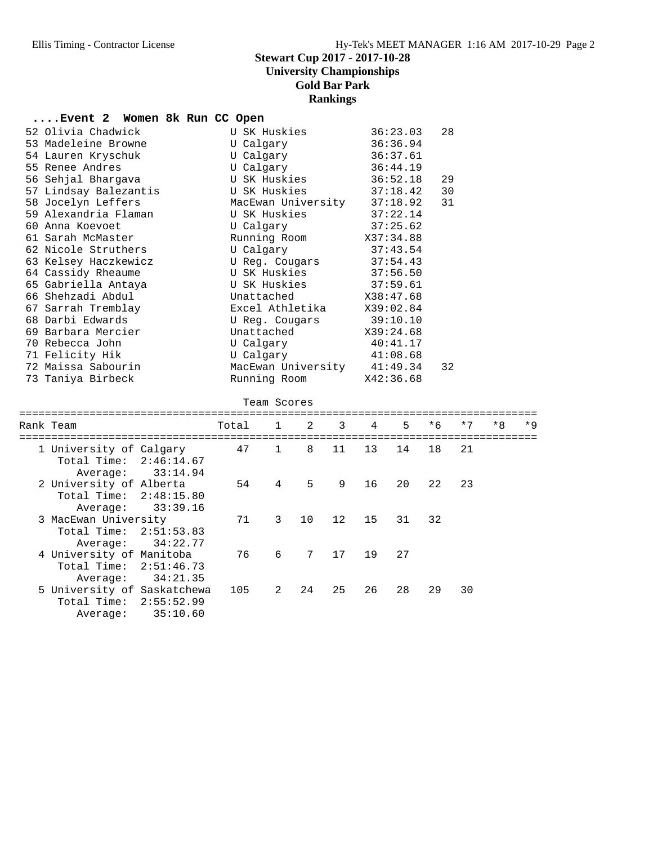#### **....Event 2 Women 8k Run CC Open**

| 52 Olivia Chadwick    | U SK Huskies                | 36:23.03  | 28 |  |
|-----------------------|-----------------------------|-----------|----|--|
| 53 Madeleine Browne   | U Calqary                   | 36:36.94  |    |  |
| 54 Lauren Kryschuk    | U Calgary                   | 36:37.61  |    |  |
| 55 Renee Andres       | U Calgary                   | 36:44.19  |    |  |
| 56 Sehjal Bharqava    | U SK Huskies 36:52.18       |           | 29 |  |
| 57 Lindsay Balezantis |                             |           | 30 |  |
| 58 Jocelyn Leffers    | MacEwan University 37:18.92 |           | 31 |  |
| 59 Alexandria Flaman  | U SK Huskies $37:22.14$     |           |    |  |
| 60 Anna Koevoet       | U Calgary 37:25.62          |           |    |  |
| 61 Sarah McMaster     | Running Room X37:34.88      |           |    |  |
| 62 Nicole Struthers   | U Calgary                   | 37:43.54  |    |  |
| 63 Kelsey Haczkewicz  | U Req. Couqars              | 37:54.43  |    |  |
| 64 Cassidy Rheaume    | U SK Huskies 37:56.50       |           |    |  |
| 65 Gabriella Antaya   | U SK Huskies                | 37:59.61  |    |  |
| 66 Shehzadi Abdul     | Unattached X38:47.68        |           |    |  |
| 67 Sarrah Tremblay    | Excel Athletika X39:02.84   |           |    |  |
| 68 Darbi Edwards      | U Req. Couqars              | 39:10.10  |    |  |
| 69 Barbara Mercier    | Unattached                  | X39:24.68 |    |  |
| 70 Rebecca John       | U Calgary                   | 40:41.17  |    |  |
| 71 Felicity Hik       | U Calgary $41:08.68$        |           |    |  |
| 72 Maissa Sabourin    | MacEwan University 41:49.34 |           | 32 |  |
| 73 Taniya Birbeck     | Running Room X42:36.68      |           |    |  |
|                       | Team Scores                 |           |    |  |

#### ================================================================================= Rank Team Total 1 2 3 4 5 \*6 \*7 \*8 \*9 ================================================================================= 1 University of Calgary 47 1 8 11 13 14 18 21 Total Time: 2:46:14.67 Average: 33:14.94<br>2 University of Alberta 2 University of Alberta 54 4 5 9 16 20 22 23 Total Time: 2:48:15.80 Average: 33:39.16 3 MacEwan University 71 3 10 12 15 31 32 Total Time: 2:51:53.83 Average: 34:22.77 4 University of Manitoba 76 6 7 17 19 27 Total Time: 2:51:46.73 Average: 34:21.35<br>5 University of Saskatchewa 5 University of Saskatchewa 105 2 24 25 26 28 29 30 Total Time: 2:55:52.99 Average: 35:10.60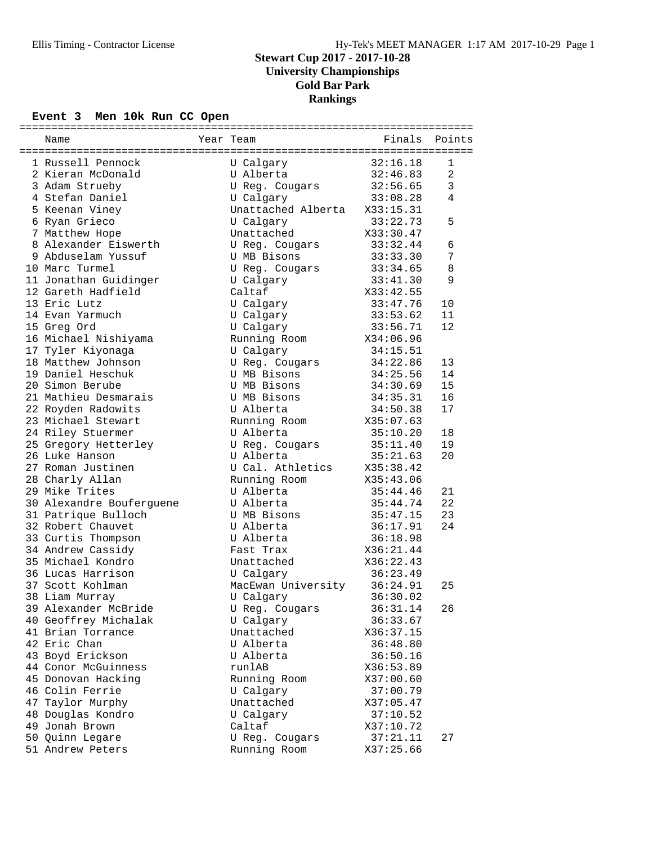### Event 3 Men 10k Run CC Open

|                          | =====              | :===================== |        |
|--------------------------|--------------------|------------------------|--------|
| Name                     | Year Team          | Finals                 | Points |
|                          |                    |                        |        |
| 1 Russell Pennock        | U Calgary          | 32:16.18               | 1      |
| 2 Kieran McDonald        | U Alberta          | 32:46.83               | 2      |
| 3 Adam Strueby           | U Reg. Cougars     | 32:56.65               | 3      |
| 4 Stefan Daniel          | U Calgary          | 33:08.28               | 4      |
| 5 Keenan Viney           | Unattached Alberta | X33:15.31              |        |
| 6 Ryan Grieco            | U Calgary          | 33:22.73               | 5      |
| 7 Matthew Hope           | Unattached         | X33:30.47              |        |
| 8 Alexander Eiswerth     | U Reg. Cougars     | 33:32.44               | 6      |
| 9 Abduselam Yussuf       | U MB Bisons        | 33:33.30               | 7      |
| 10 Marc Turmel           | U Reg. Cougars     | 33:34.65               | 8      |
| 11 Jonathan Guidinger    | U Calgary          | 33:41.30               | 9      |
| 12 Gareth Hadfield       | Caltaf             | X33:42.55              |        |
| 13 Eric Lutz             | U Calgary          | 33:47.76               | 10     |
| 14 Evan Yarmuch          | U Calgary          | 33:53.62               | 11     |
| 15 Greg Ord              | U Calgary          | 33:56.71               | 12     |
| 16 Michael Nishiyama     | Running Room       | X34:06.96              |        |
| 17 Tyler Kiyonaga        | U Calgary          | 34:15.51               |        |
| 18 Matthew Johnson       | U Reg. Cougars     | 34:22.86               | 13     |
| 19 Daniel Heschuk        | U MB Bisons        | 34:25.56               | 14     |
| 20 Simon Berube          | U MB Bisons        | 34:30.69               | 15     |
| 21 Mathieu Desmarais     | U MB Bisons        | 34:35.31               | 16     |
| 22 Royden Radowits       | U Alberta          | 34:50.38               | 17     |
| 23 Michael Stewart       | Running Room       | X35:07.63              |        |
| 24 Riley Stuermer        | U Alberta          | 35:10.20               | 18     |
| 25 Gregory Hetterley     | U Reg. Cougars     | 35:11.40               | 19     |
| 26 Luke Hanson           | U Alberta          | 35:21.63               | 20     |
| 27 Roman Justinen        | U Cal. Athletics   | X35:38.42              |        |
| 28 Charly Allan          | Running Room       | X35:43.06              |        |
| 29 Mike Trites           | U Alberta          | 35:44.46               | 21     |
| 30 Alexandre Bouferguene | U Alberta          | 35:44.74               | 22     |
| 31 Patrique Bulloch      | U MB Bisons        | 35:47.15               | 23     |
| 32 Robert Chauvet        | U Alberta          | 36:17.91               | 24     |
| 33 Curtis Thompson       | U Alberta          | 36:18.98               |        |
| 34 Andrew Cassidy        | Fast Trax          | X36:21.44              |        |
| 35 Michael Kondro        | Unattached         | X36:22.43              |        |
| 36 Lucas Harrison        | U Calgary          | 36:23.49               |        |
| 37 Scott Kohlman         | MacEwan University | 36:24.91               | 25     |
| 38 Liam Murray           | U Calgary          | 36:30.02               |        |
| 39 Alexander McBride     | U Reg. Cougars     | 36:31.14               | 26     |
| 40 Geoffrey Michalak     | U Calgary          | 36:33.67               |        |
| 41 Brian Torrance        | Unattached         | X36:37.15              |        |
| 42 Eric Chan             | U Alberta          | 36:48.80               |        |
| 43 Boyd Erickson         | U Alberta          | 36:50.16               |        |
| 44 Conor McGuinness      | runlAB             | X36:53.89              |        |
| 45 Donovan Hacking       | Running Room       | X37:00.60              |        |
| 46 Colin Ferrie          | U Calgary          | 37:00.79               |        |
| 47 Taylor Murphy         | Unattached         | X37:05.47              |        |
| 48 Douglas Kondro        | U Calgary          | 37:10.52               |        |
| 49 Jonah Brown           | Caltaf             | X37:10.72              |        |
| 50 Quinn Legare          | U Reg. Cougars     | 37:21.11               | 27     |
| 51 Andrew Peters         | Running Room       | X37:25.66              |        |
|                          |                    |                        |        |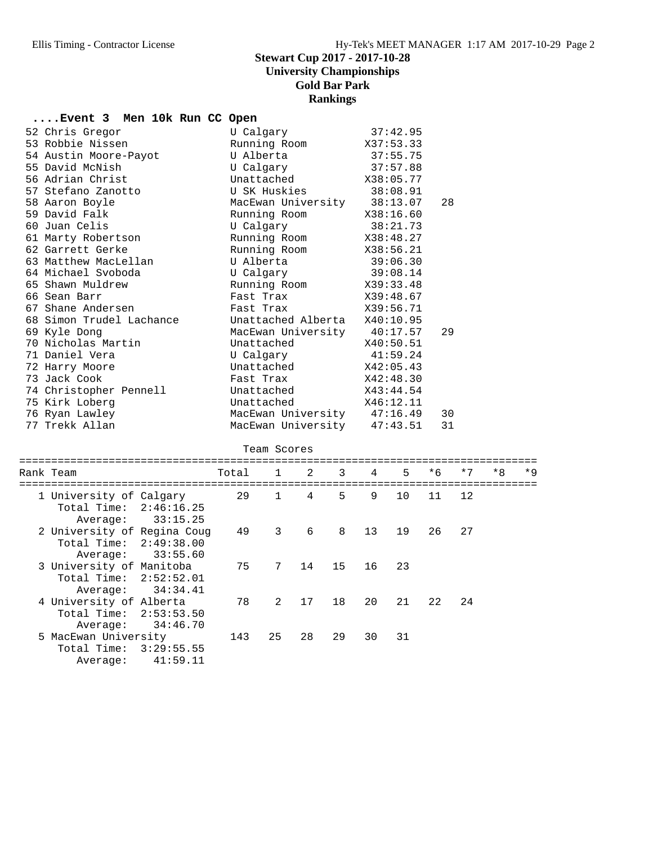# **....Event 3 Men 10k Run CC Open**

| 52 Chris Gregor                                      |       | U Calgary          |    |                    |          | 37:42.95  |      |      |      |      |
|------------------------------------------------------|-------|--------------------|----|--------------------|----------|-----------|------|------|------|------|
| 53 Robbie Nissen                                     |       | Running Room       |    |                    |          | X37:53.33 |      |      |      |      |
| 54 Austin Moore-Payot                                |       | U Alberta          |    |                    | 37:55.75 |           |      |      |      |      |
| 55 David McNish                                      |       | U Calgary          |    |                    |          | 37:57.88  |      |      |      |      |
| 56 Adrian Christ                                     |       | Unattached         |    |                    |          | X38:05.77 |      |      |      |      |
| 57 Stefano Zanotto                                   |       | U SK Huskies       |    |                    |          | 38:08.91  |      |      |      |      |
| 58 Aaron Boyle                                       |       | MacEwan University |    |                    |          | 38:13.07  | 28   |      |      |      |
| 59 David Falk                                        |       | Running Room       |    |                    |          | X38:16.60 |      |      |      |      |
| 60 Juan Celis                                        |       | U Calgary          |    |                    |          | 38:21.73  |      |      |      |      |
| 61 Marty Robertson                                   |       | Running Room       |    |                    |          | X38:48.27 |      |      |      |      |
| 62 Garrett Gerke                                     |       | Running Room       |    |                    |          | X38:56.21 |      |      |      |      |
| 63 Matthew MacLellan                                 |       | U Alberta          |    |                    |          | 39:06.30  |      |      |      |      |
| 64 Michael Svoboda                                   |       | U Calgary          |    |                    |          | 39:08.14  |      |      |      |      |
| 65 Shawn Muldrew                                     |       | Running Room       |    |                    |          | X39:33.48 |      |      |      |      |
| 66 Sean Barr                                         |       | Fast Trax          |    |                    |          | X39:48.67 |      |      |      |      |
| 67 Shane Andersen                                    |       | Fast Trax          |    |                    |          | X39:56.71 |      |      |      |      |
| 68 Simon Trudel Lachance                             |       | Unattached Alberta |    |                    |          | X40:10.95 |      |      |      |      |
| 69 Kyle Dong                                         |       | MacEwan University |    |                    |          | 40:17.57  | 29   |      |      |      |
| 70 Nicholas Martin                                   |       | Unattached         |    |                    |          | X40:50.51 |      |      |      |      |
| 71 Daniel Vera                                       |       | U Calgary          |    |                    |          | 41:59.24  |      |      |      |      |
| 72 Harry Moore                                       |       | Unattached         |    |                    |          | X42:05.43 |      |      |      |      |
| 73 Jack Cook                                         |       | Fast Trax          |    |                    |          | X42:48.30 |      |      |      |      |
| 74 Christopher Pennell                               |       | Unattached         |    |                    |          | X43:44.54 |      |      |      |      |
| 75 Kirk Loberg                                       |       | Unattached         |    |                    |          | X46:12.11 |      |      |      |      |
| 76 Ryan Lawley                                       |       | MacEwan University |    |                    |          | 47:16.49  | 30   |      |      |      |
| 77 Trekk Allan                                       |       |                    |    | MacEwan University |          | 47:43.51  | 31   |      |      |      |
|                                                      |       |                    |    |                    |          |           |      |      |      |      |
|                                                      |       | Team Scores        |    |                    |          |           |      |      |      |      |
|                                                      |       |                    |    |                    |          |           |      |      |      |      |
| Rank Team                                            | Total | $\mathbf{1}$       | 2  | 3                  | 4        | 5         | $*6$ | $*7$ | $*8$ | $*9$ |
|                                                      | 29    | $\mathbf{1}$       | 4  | 5                  | 9        | 10        | 11   | 12   |      |      |
| 1 University of Calgary<br>Total Time:<br>2:46:16.25 |       |                    |    |                    |          |           |      |      |      |      |
| 33:15.25                                             |       |                    |    |                    |          |           |      |      |      |      |
| Average:                                             |       | 3                  | 6  | 8                  | 13       | 19        |      | 27   |      |      |
| 2 University of Regina Coug<br>2:49:38.00            | 49    |                    |    |                    |          |           | 26   |      |      |      |
| Total Time:                                          |       |                    |    |                    |          |           |      |      |      |      |
| Average:<br>33:55.60                                 |       |                    |    |                    |          |           |      |      |      |      |
| 3 University of Manitoba                             | 75    | 7                  | 14 | 15                 | 16       | 23        |      |      |      |      |
| Total Time:<br>2:52:52.01                            |       |                    |    |                    |          |           |      |      |      |      |
| 34:34.41<br>Average:                                 |       |                    |    |                    |          |           |      |      |      |      |
| 4 University of Alberta                              | 78    | $\overline{2}$     | 17 | 18                 | 20       | 21        | 22   | 24   |      |      |
| Total Time: 2:53:53.50                               |       |                    |    |                    |          |           |      |      |      |      |
| Average:<br>34:46.70                                 |       |                    |    |                    |          |           |      |      |      |      |
| 5 MacEwan University                                 | 143   | 25                 | 28 | 29                 | 30       | 31        |      |      |      |      |

 Total Time: 3:29:55.55 Average: 41:59.11